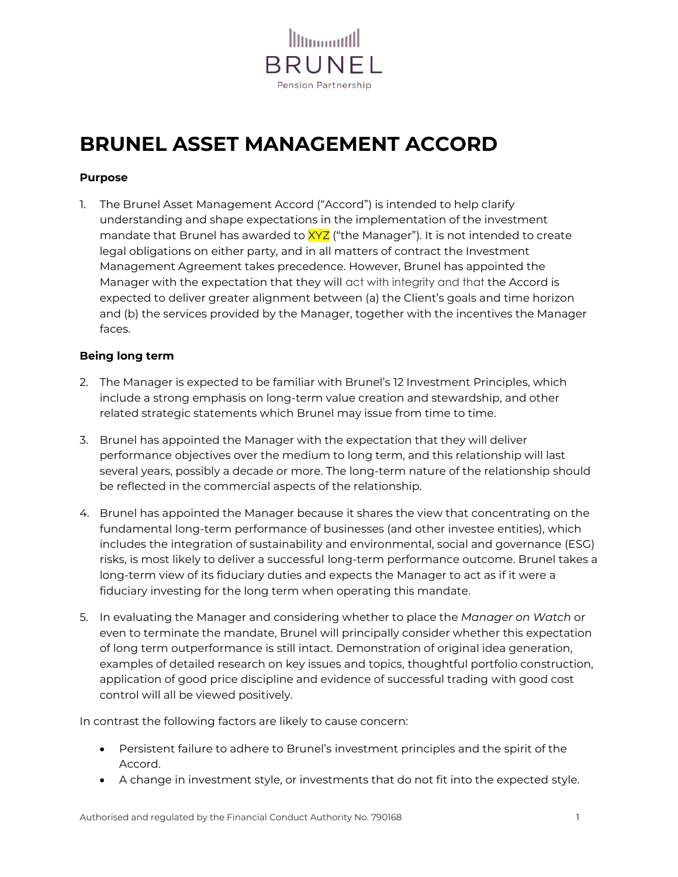

# **BRUNEL ASSET MANAGEMENT ACCORD**

# **Purpose**

1. The Brunel Asset Management Accord ("Accord") is intended to help clarify understanding and shape expectations in the implementation of the investment mandate that Brunel has awarded to  $XYZ$  ("the Manager"). It is not intended to create legal obligations on either party, and in all matters of contract the Investment Management Agreement takes precedence. However, Brunel has appointed the Manager with the expectation that they will act with integrity and that the Accord is expected to deliver greater alignment between (a) the Client's goals and time horizon and (b) the services provided by the Manager, together with the incentives the Manager faces.

## **Being long term**

- 2. The Manager is expected to be familiar with Brunel's 12 Investment Principles, which include a strong emphasis on long-term value creation and stewardship, and other related strategic statements which Brunel may issue from time to time.
- 3. Brunel has appointed the Manager with the expectation that they will deliver performance objectives over the medium to long term, and this relationship will last several years, possibly a decade or more. The long-term nature of the relationship should be reflected in the commercial aspects of the relationship.
- 4. Brunel has appointed the Manager because it shares the view that concentrating on the fundamental long-term performance of businesses (and other investee entities), which includes the integration of sustainability and environmental, social and governance (ESG) risks, is most likely to deliver a successful long-term performance outcome. Brunel takes a long-term view of its fiduciary duties and expects the Manager to act as if it were a fiduciary investing for the long term when operating this mandate.
- 5. In evaluating the Manager and considering whether to place the *Manager on Watch* or even to terminate the mandate, Brunel will principally consider whether this expectation of long term outperformance is still intact. Demonstration of original idea generation, examples of detailed research on key issues and topics, thoughtful portfolio construction, application of good price discipline and evidence of successful trading with good cost control will all be viewed positively.

In contrast the following factors are likely to cause concern:

- Persistent failure to adhere to Brunel's investment principles and the spirit of the Accord.
- A change in investment style, or investments that do not fit into the expected style.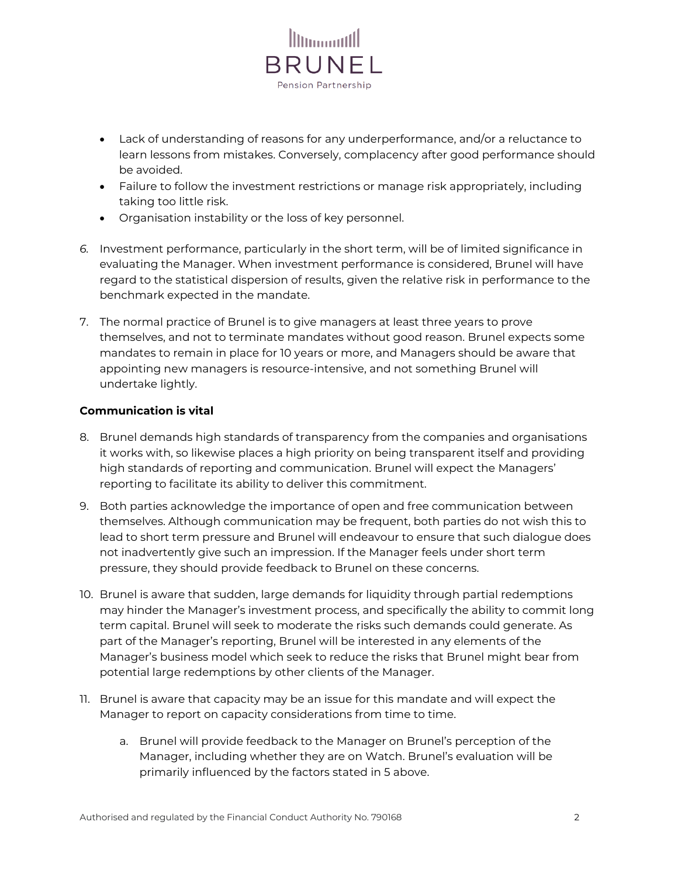

- Lack of understanding of reasons for any underperformance, and/or a reluctance to learn lessons from mistakes. Conversely, complacency after good performance should be avoided.
- Failure to follow the investment restrictions or manage risk appropriately, including taking too little risk.
- Organisation instability or the loss of key personnel.
- *6.* Investment performance, particularly in the short term, will be of limited significance in evaluating the Manager. When investment performance is considered, Brunel will have regard to the statistical dispersion of results, given the relative risk in performance to the benchmark expected in the mandate.
- 7. The normal practice of Brunel is to give managers at least three years to prove themselves, and not to terminate mandates without good reason. Brunel expects some mandates to remain in place for 10 years or more, and Managers should be aware that appointing new managers is resource-intensive, and not something Brunel will undertake lightly.

# **Communication is vital**

- 8. Brunel demands high standards of transparency from the companies and organisations it works with, so likewise places a high priority on being transparent itself and providing high standards of reporting and communication. Brunel will expect the Managers' reporting to facilitate its ability to deliver this commitment.
- 9. Both parties acknowledge the importance of open and free communication between themselves. Although communication may be frequent, both parties do not wish this to lead to short term pressure and Brunel will endeavour to ensure that such dialogue does not inadvertently give such an impression. If the Manager feels under short term pressure, they should provide feedback to Brunel on these concerns.
- 10. Brunel is aware that sudden, large demands for liquidity through partial redemptions may hinder the Manager's investment process, and specifically the ability to commit long term capital. Brunel will seek to moderate the risks such demands could generate. As part of the Manager's reporting, Brunel will be interested in any elements of the Manager's business model which seek to reduce the risks that Brunel might bear from potential large redemptions by other clients of the Manager.
- 11. Brunel is aware that capacity may be an issue for this mandate and will expect the Manager to report on capacity considerations from time to time.
	- a. Brunel will provide feedback to the Manager on Brunel's perception of the Manager, including whether they are on Watch. Brunel's evaluation will be primarily influenced by the factors stated in 5 above.